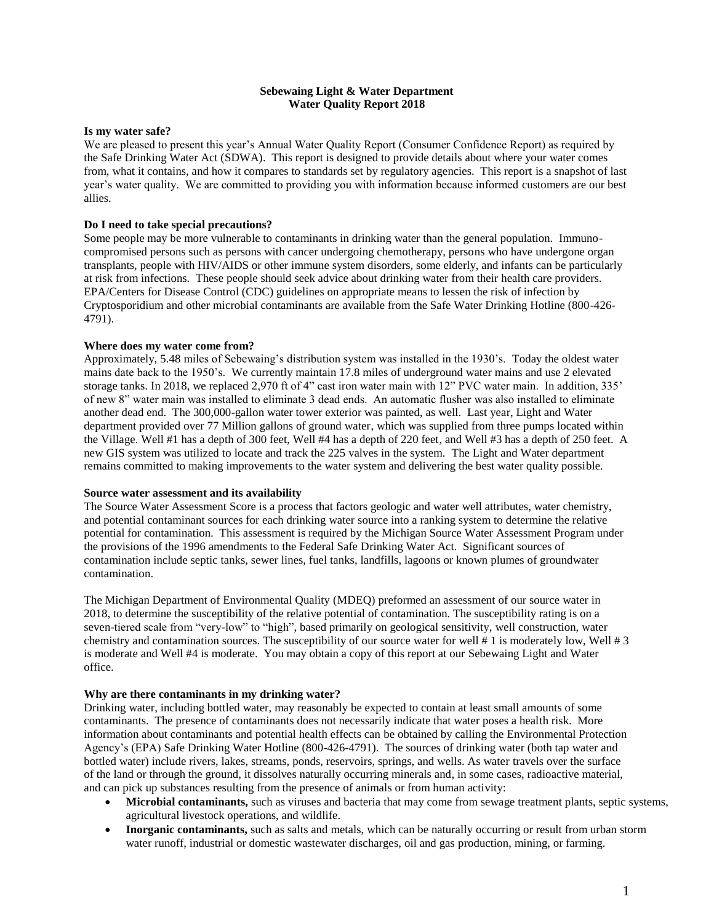### **Sebewaing Light & Water Department Water Quality Report 2018**

### **Is my water safe?**

We are pleased to present this year's Annual Water Quality Report (Consumer Confidence Report) as required by the Safe Drinking Water Act (SDWA). This report is designed to provide details about where your water comes from, what it contains, and how it compares to standards set by regulatory agencies. This report is a snapshot of last year's water quality. We are committed to providing you with information because informed customers are our best allies.

### **Do I need to take special precautions?**

Some people may be more vulnerable to contaminants in drinking water than the general population. Immunocompromised persons such as persons with cancer undergoing chemotherapy, persons who have undergone organ transplants, people with HIV/AIDS or other immune system disorders, some elderly, and infants can be particularly at risk from infections. These people should seek advice about drinking water from their health care providers. EPA/Centers for Disease Control (CDC) guidelines on appropriate means to lessen the risk of infection by Cryptosporidium and other microbial contaminants are available from the Safe Water Drinking Hotline (800-426- 4791).

### **Where does my water come from?**

Approximately, 5.48 miles of Sebewaing's distribution system was installed in the 1930's. Today the oldest water mains date back to the 1950's. We currently maintain 17.8 miles of underground water mains and use 2 elevated storage tanks. In 2018, we replaced 2,970 ft of 4" cast iron water main with 12" PVC water main. In addition, 335' of new 8" water main was installed to eliminate 3 dead ends. An automatic flusher was also installed to eliminate another dead end. The 300,000-gallon water tower exterior was painted, as well. Last year, Light and Water department provided over 77 Million gallons of ground water, which was supplied from three pumps located within the Village. Well #1 has a depth of 300 feet, Well #4 has a depth of 220 feet, and Well #3 has a depth of 250 feet. A new GIS system was utilized to locate and track the 225 valves in the system. The Light and Water department remains committed to making improvements to the water system and delivering the best water quality possible.

#### **Source water assessment and its availability**

The Source Water Assessment Score is a process that factors geologic and water well attributes, water chemistry, and potential contaminant sources for each drinking water source into a ranking system to determine the relative potential for contamination. This assessment is required by the Michigan Source Water Assessment Program under the provisions of the 1996 amendments to the Federal Safe Drinking Water Act. Significant sources of contamination include septic tanks, sewer lines, fuel tanks, landfills, lagoons or known plumes of groundwater contamination.

The Michigan Department of Environmental Quality (MDEQ) preformed an assessment of our source water in 2018, to determine the susceptibility of the relative potential of contamination. The susceptibility rating is on a seven-tiered scale from "very-low" to "high", based primarily on geological sensitivity, well construction, water chemistry and contamination sources. The susceptibility of our source water for well # 1 is moderately low, Well # 3 is moderate and Well #4 is moderate. You may obtain a copy of this report at our Sebewaing Light and Water office.

#### **Why are there contaminants in my drinking water?**

Drinking water, including bottled water, may reasonably be expected to contain at least small amounts of some contaminants. The presence of contaminants does not necessarily indicate that water poses a health risk. More information about contaminants and potential health effects can be obtained by calling the Environmental Protection Agency's (EPA) Safe Drinking Water Hotline (800-426-4791). The sources of drinking water (both tap water and bottled water) include rivers, lakes, streams, ponds, reservoirs, springs, and wells. As water travels over the surface of the land or through the ground, it dissolves naturally occurring minerals and, in some cases, radioactive material, and can pick up substances resulting from the presence of animals or from human activity:

- **Microbial contaminants,** such as viruses and bacteria that may come from sewage treatment plants, septic systems, agricultural livestock operations, and wildlife.
- **Inorganic contaminants,** such as salts and metals, which can be naturally occurring or result from urban storm water runoff, industrial or domestic wastewater discharges, oil and gas production, mining, or farming.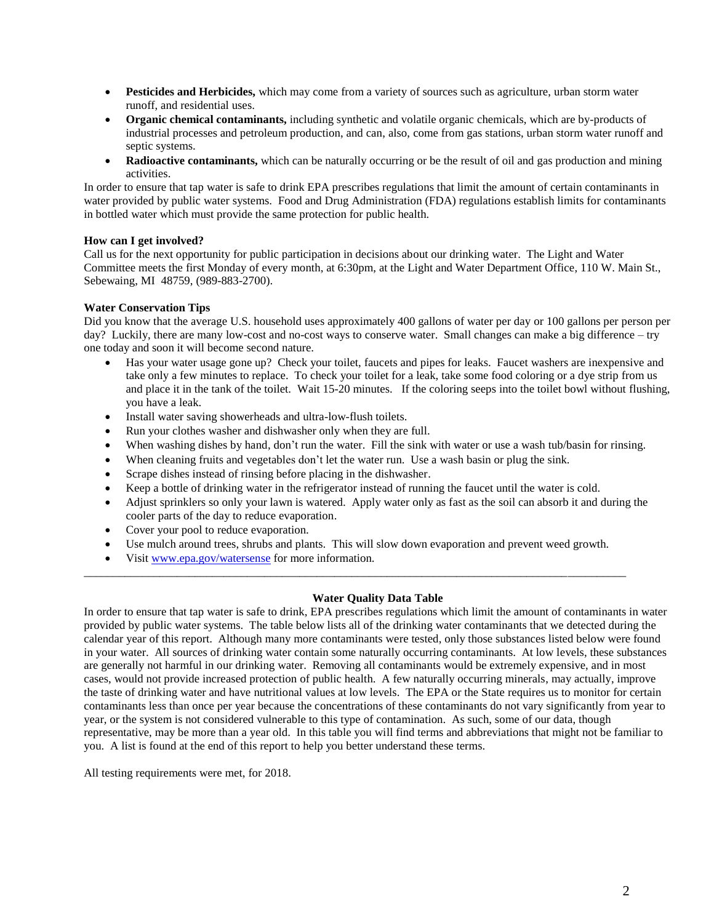- **Pesticides and Herbicides,** which may come from a variety of sources such as agriculture, urban storm water runoff, and residential uses.
- **Organic chemical contaminants,** including synthetic and volatile organic chemicals, which are by-products of industrial processes and petroleum production, and can, also, come from gas stations, urban storm water runoff and septic systems.
- **Radioactive contaminants,** which can be naturally occurring or be the result of oil and gas production and mining activities.

In order to ensure that tap water is safe to drink EPA prescribes regulations that limit the amount of certain contaminants in water provided by public water systems. Food and Drug Administration (FDA) regulations establish limits for contaminants in bottled water which must provide the same protection for public health.

## **How can I get involved?**

Call us for the next opportunity for public participation in decisions about our drinking water. The Light and Water Committee meets the first Monday of every month, at 6:30pm, at the Light and Water Department Office, 110 W. Main St., Sebewaing, MI 48759, (989-883-2700).

### **Water Conservation Tips**

Did you know that the average U.S. household uses approximately 400 gallons of water per day or 100 gallons per person per day? Luckily, there are many low-cost and no-cost ways to conserve water. Small changes can make a big difference – try one today and soon it will become second nature.

- Has your water usage gone up? Check your toilet, faucets and pipes for leaks. Faucet washers are inexpensive and take only a few minutes to replace. To check your toilet for a leak, take some food coloring or a dye strip from us and place it in the tank of the toilet. Wait 15-20 minutes. If the coloring seeps into the toilet bowl without flushing, you have a leak.
- Install water saving showerheads and ultra-low-flush toilets.
- Run your clothes washer and dishwasher only when they are full.
- When washing dishes by hand, don't run the water. Fill the sink with water or use a wash tub/basin for rinsing.
- When cleaning fruits and vegetables don't let the water run. Use a wash basin or plug the sink.
- Scrape dishes instead of rinsing before placing in the dishwasher.
- Keep a bottle of drinking water in the refrigerator instead of running the faucet until the water is cold.
- Adjust sprinklers so only your lawn is watered. Apply water only as fast as the soil can absorb it and during the cooler parts of the day to reduce evaporation.
- Cover your pool to reduce evaporation.
- Use mulch around trees, shrubs and plants. This will slow down evaporation and prevent weed growth.

\_\_\_\_\_\_\_\_\_\_\_\_\_\_\_\_\_\_\_\_\_\_\_\_\_\_\_\_\_\_\_\_\_\_\_\_\_\_\_\_\_\_\_\_\_\_\_\_\_\_\_\_\_\_\_\_\_\_\_\_\_\_\_\_\_\_\_\_\_\_\_\_\_\_\_\_\_\_\_\_\_\_\_\_\_\_\_\_\_\_\_\_\_

Visit [www.epa.gov/watersense](http://www.epa.gov/watersense) for more information.

# **Water Quality Data Table**

In order to ensure that tap water is safe to drink, EPA prescribes regulations which limit the amount of contaminants in water provided by public water systems. The table below lists all of the drinking water contaminants that we detected during the calendar year of this report. Although many more contaminants were tested, only those substances listed below were found in your water. All sources of drinking water contain some naturally occurring contaminants. At low levels, these substances are generally not harmful in our drinking water. Removing all contaminants would be extremely expensive, and in most cases, would not provide increased protection of public health. A few naturally occurring minerals, may actually, improve the taste of drinking water and have nutritional values at low levels. The EPA or the State requires us to monitor for certain contaminants less than once per year because the concentrations of these contaminants do not vary significantly from year to year, or the system is not considered vulnerable to this type of contamination. As such, some of our data, though representative, may be more than a year old. In this table you will find terms and abbreviations that might not be familiar to you. A list is found at the end of this report to help you better understand these terms.

All testing requirements were met, for 2018.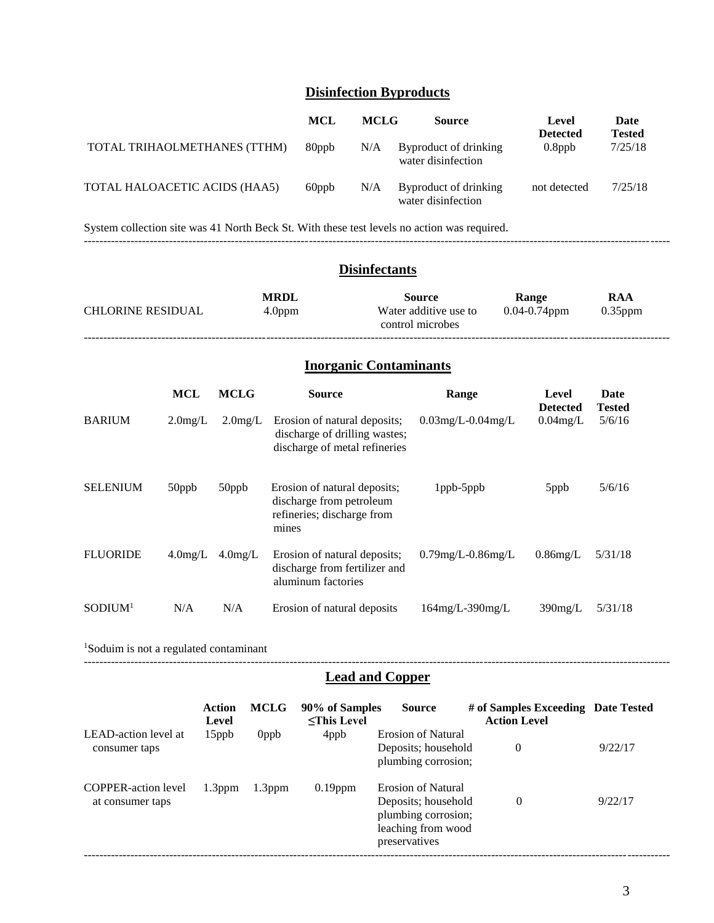# **Disinfection Byproducts**

|                               | MCL   | <b>MCLG</b> | <b>Source</b>                               | Level<br><b>Detected</b> | Date<br><b>Tested</b> |
|-------------------------------|-------|-------------|---------------------------------------------|--------------------------|-----------------------|
| TOTAL TRIHAOLMETHANES (TTHM)  | 80ppb | N/A         | Byproduct of drinking<br>water disinfection | $0.8$ ppb                | 7/25/18               |
| TOTAL HALOACETIC ACIDS (HAA5) | 60ppb | N/A         | Byproduct of drinking<br>water disinfection | not detected             | 7/25/18               |

System collection site was 41 North Beck St. With these test levels no action was required. -------------------------------------------------------------------------------------------------------------------------------------------------------

## **Disinfectants**

| <b>CHLORINE RESIDUAL</b> | <b>MRDL</b><br>4.0 <sub>ppm</sub> | <b>Source</b><br>Water additive use to<br>control microbes | Range<br>$0.04 - 0.74$ ppm | RAA<br>$0.35$ ppm |  |
|--------------------------|-----------------------------------|------------------------------------------------------------|----------------------------|-------------------|--|
|                          |                                   |                                                            |                            |                   |  |

# **Inorganic Contaminants**

|                     | <b>MCL</b> | <b>MCLG</b> | <b>Source</b>                                                                                   | Range                    | Level<br><b>Detected</b> | Date<br><b>Tested</b> |
|---------------------|------------|-------------|-------------------------------------------------------------------------------------------------|--------------------------|--------------------------|-----------------------|
| <b>BARIUM</b>       | $2.0$ mg/L | $2.0$ mg/L  | Erosion of natural deposits;<br>discharge of drilling wastes;<br>discharge of metal refineries  | $0.03$ mg/L- $0.04$ mg/L | $0.04$ mg/L              | 5/6/16                |
| <b>SELENIUM</b>     | 50ppb      | 50ppb       | Erosion of natural deposits;<br>discharge from petroleum<br>refineries; discharge from<br>mines | $1$ ppb- $5$ ppb         | 5ppb                     | 5/6/16                |
| <b>FLUORIDE</b>     | $4.0$ mg/L | $4.0$ mg/L  | Erosion of natural deposits;<br>discharge from fertilizer and<br>aluminum factories             | $0.79$ mg/L- $0.86$ mg/L | $0.86$ mg/L              | 5/31/18               |
| SODIUM <sup>1</sup> | N/A        | N/A         | Erosion of natural deposits                                                                     | 164mg/L-390mg/L          | $390$ mg/L               | 5/31/18               |

<sup>1</sup>Soduim is not a regulated contaminant

# **Lead and Copper**

-------------------------------------------------------------------------------------------------------------------------------------------------------

|                                                | Action<br>Level | <b>MCLG</b> | 90% of Samples<br>$\le$ This Level | <b>Source</b>                                                                                                  | # of Samples Exceeding Date Tested<br><b>Action Level</b> |         |
|------------------------------------------------|-----------------|-------------|------------------------------------|----------------------------------------------------------------------------------------------------------------|-----------------------------------------------------------|---------|
| LEAD-action level at<br>consumer taps          | $15$ ppb        | 0ppb        | 4ppb                               | <b>Erosion of Natural</b><br>Deposits; household<br>plumbing corrosion;                                        | 0                                                         | 9/22/17 |
| <b>COPPER-action level</b><br>at consumer taps | $1.3$ ppm       | $1.3$ ppm   | $0.19$ ppm                         | <b>Erosion of Natural</b><br>Deposits; household<br>plumbing corrosion;<br>leaching from wood<br>preservatives | $\theta$                                                  | 9/22/17 |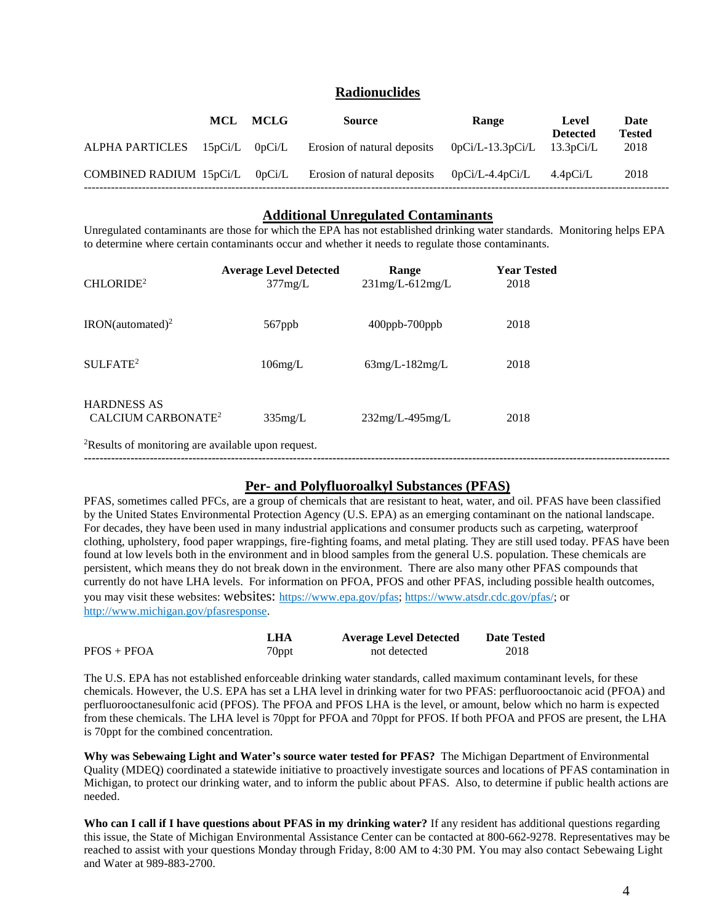# **Radionuclides**

|                                | MCL | MCLG | <b>Source</b>               | Range                        | Level<br><b>Detected</b> | Date<br><b>Tested</b> |
|--------------------------------|-----|------|-----------------------------|------------------------------|--------------------------|-----------------------|
| ALPHA PARTICLES 15pCi/L 0pCi/L |     |      | Erosion of natural deposits | $0pCi/L-13.3pCi/L$ 13.3pCi/L |                          | 2018                  |
| COMBINED RADIUM 15pCi/L 0pCi/L |     |      | Erosion of natural deposits | $0pCi/L-4.4pCi/L$            | 4.4pCi/L                 | 2018                  |

### **Additional Unregulated Contaminants**

Unregulated contaminants are those for which the EPA has not established drinking water standards. Monitoring helps EPA to determine where certain contaminants occur and whether it needs to regulate those contaminants.

| CHLORIDE <sup>2</sup>                                | <b>Average Level Detected</b><br>377mg/L | Range<br>$231$ mg/L-612mg/L | <b>Year Tested</b><br>2018 |  |
|------------------------------------------------------|------------------------------------------|-----------------------------|----------------------------|--|
| $IRON(automated)^2$                                  | 567ppb                                   | $400$ ppb- $700$ ppb        | 2018                       |  |
| SULFATE <sup>2</sup>                                 | $106$ mg/L                               | $63mg/L-182mg/L$            | 2018                       |  |
| <b>HARDNESS AS</b><br>CALCIUM CARBONATE <sup>2</sup> | $335$ mg/L                               | $232mg/L-495mg/L$           | 2018                       |  |

<sup>2</sup>Results of monitoring are available upon request.

# **Per- and Polyfluoroalkyl Substances (PFAS)**

**-------------------------------------------------------------------------------------------------------------------------------------------------------**

PFAS, sometimes called PFCs, are a group of chemicals that are resistant to heat, water, and oil. PFAS have been classified by the United States Environmental Protection Agency (U.S. EPA) as an emerging contaminant on the national landscape. For decades, they have been used in many industrial applications and consumer products such as carpeting, waterproof clothing, upholstery, food paper wrappings, fire-fighting foams, and metal plating. They are still used today. PFAS have been found at low levels both in the environment and in blood samples from the general U.S. population. These chemicals are persistent, which means they do not break down in the environment. There are also many other PFAS compounds that currently do not have LHA levels. For information on PFOA, PFOS and other PFAS, including possible health outcomes, you may visit these websites: websites: https://www.epa.gov/pfas; https://www.atsdr.cdc.gov/pfas/; or http://www.michigan.gov/pfasresponse.

|               | LHA               | <b>Average Level Detected</b> | <b>Date Tested</b> |
|---------------|-------------------|-------------------------------|--------------------|
| $PFOS + PFOA$ | <sup>7</sup> 0ppt | not detected                  | 2018               |

The U.S. EPA has not established enforceable drinking water standards, called maximum contaminant levels, for these chemicals. However, the U.S. EPA has set a LHA level in drinking water for two PFAS: perfluorooctanoic acid (PFOA) and perfluorooctanesulfonic acid (PFOS). The PFOA and PFOS LHA is the level, or amount, below which no harm is expected from these chemicals. The LHA level is 70ppt for PFOA and 70ppt for PFOS. If both PFOA and PFOS are present, the LHA is 70ppt for the combined concentration.

**Why was Sebewaing Light and Water's source water tested for PFAS?** The Michigan Department of Environmental Quality (MDEQ) coordinated a statewide initiative to proactively investigate sources and locations of PFAS contamination in Michigan, to protect our drinking water, and to inform the public about PFAS. Also, to determine if public health actions are needed.

**Who can I call if I have questions about PFAS in my drinking water?** If any resident has additional questions regarding this issue, the State of Michigan Environmental Assistance Center can be contacted at 800-662-9278. Representatives may be reached to assist with your questions Monday through Friday, 8:00 AM to 4:30 PM. You may also contact Sebewaing Light and Water at 989-883-2700.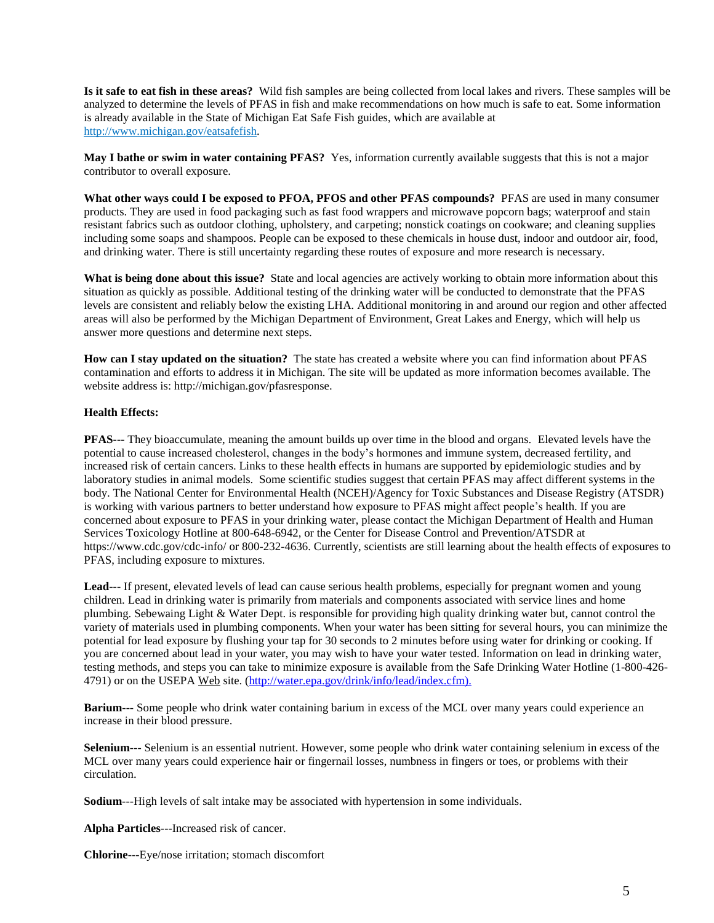**Is it safe to eat fish in these areas?** Wild fish samples are being collected from local lakes and rivers. These samples will be analyzed to determine the levels of PFAS in fish and make recommendations on how much is safe to eat. Some information is already available in the State of Michigan Eat Safe Fish guides, which are available at http://www.michigan.gov/eatsafefish.

**May I bathe or swim in water containing PFAS?** Yes, information currently available suggests that this is not a major contributor to overall exposure.

**What other ways could I be exposed to PFOA, PFOS and other PFAS compounds?** PFAS are used in many consumer products. They are used in food packaging such as fast food wrappers and microwave popcorn bags; waterproof and stain resistant fabrics such as outdoor clothing, upholstery, and carpeting; nonstick coatings on cookware; and cleaning supplies including some soaps and shampoos. People can be exposed to these chemicals in house dust, indoor and outdoor air, food, and drinking water. There is still uncertainty regarding these routes of exposure and more research is necessary.

**What is being done about this issue?** State and local agencies are actively working to obtain more information about this situation as quickly as possible. Additional testing of the drinking water will be conducted to demonstrate that the PFAS levels are consistent and reliably below the existing LHA. Additional monitoring in and around our region and other affected areas will also be performed by the Michigan Department of Environment, Great Lakes and Energy, which will help us answer more questions and determine next steps.

**How can I stay updated on the situation?** The state has created a website where you can find information about PFAS contamination and efforts to address it in Michigan. The site will be updated as more information becomes available. The website address is: http://michigan.gov/pfasresponse.

## **Health Effects:**

**PFAS---** They bioaccumulate, meaning the amount builds up over time in the blood and organs. Elevated levels have the potential to cause increased cholesterol, changes in the body's hormones and immune system, decreased fertility, and increased risk of certain cancers. Links to these health effects in humans are supported by epidemiologic studies and by laboratory studies in animal models. Some scientific studies suggest that certain PFAS may affect different systems in the body. The National Center for Environmental Health (NCEH)/Agency for Toxic Substances and Disease Registry (ATSDR) is working with various partners to better understand how exposure to PFAS might affect people's health. If you are concerned about exposure to PFAS in your drinking water, please contact the Michigan Department of Health and Human Services Toxicology Hotline at 800-648-6942, or the Center for Disease Control and Prevention/ATSDR at https://www.cdc.gov/cdc-info/ or 800-232-4636. Currently, scientists are still learning about the health effects of exposures to PFAS, including exposure to mixtures.

Lead--- If present, elevated levels of lead can cause serious health problems, especially for pregnant women and young children. Lead in drinking water is primarily from materials and components associated with service lines and home plumbing. Sebewaing Light & Water Dept. is responsible for providing high quality drinking water but, cannot control the variety of materials used in plumbing components. When your water has been sitting for several hours, you can minimize the potential for lead exposure by flushing your tap for 30 seconds to 2 minutes before using water for drinking or cooking. If you are concerned about lead in your water, you may wish to have your water tested. Information on lead in drinking water, testing methods, and steps you can take to minimize exposure is available from the Safe Drinking Water Hotline (1-800-426- 4791) or on the USEPA Web site. (http://water.epa.gov/drink/info/lead/index.cfm).

**Barium**--- Some people who drink water containing barium in excess of the MCL over many years could experience an increase in their blood pressure.

**Selenium**--- Selenium is an essential nutrient. However, some people who drink water containing selenium in excess of the MCL over many years could experience hair or fingernail losses, numbness in fingers or toes, or problems with their circulation.

**Sodium**---High levels of salt intake may be associated with hypertension in some individuals.

**Alpha Particles**---Increased risk of cancer.

**Chlorine**---Eye/nose irritation; stomach discomfort